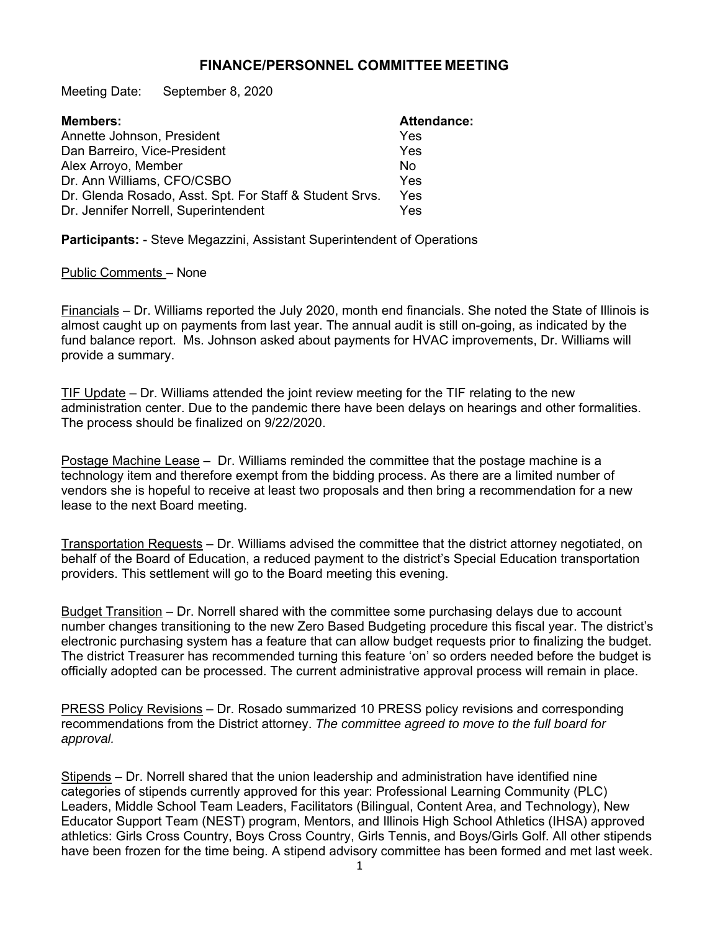## **FINANCE/PERSONNEL COMMITTEE MEETING**

Meeting Date: September 8, 2020

| <b>Members:</b>                                         | <b>Attendance:</b> |
|---------------------------------------------------------|--------------------|
| Annette Johnson, President                              | Yes                |
| Dan Barreiro, Vice-President                            | Yes                |
| Alex Arroyo, Member                                     | N <sub>0</sub>     |
| Dr. Ann Williams, CFO/CSBO                              | Yes                |
| Dr. Glenda Rosado, Asst. Spt. For Staff & Student Srvs. | Yes                |
| Dr. Jennifer Norrell, Superintendent                    | Yes                |

**Participants:** - Steve Megazzini, Assistant Superintendent of Operations

## Public Comments – None

Financials – Dr. Williams reported the July 2020, month end financials. She noted the State of Illinois is almost caught up on payments from last year. The annual audit is still on-going, as indicated by the fund balance report. Ms. Johnson asked about payments for HVAC improvements, Dr. Williams will provide a summary.

TIF Update – Dr. Williams attended the joint review meeting for the TIF relating to the new administration center. Due to the pandemic there have been delays on hearings and other formalities. The process should be finalized on 9/22/2020.

Postage Machine Lease – Dr. Williams reminded the committee that the postage machine is a technology item and therefore exempt from the bidding process. As there are a limited number of vendors she is hopeful to receive at least two proposals and then bring a recommendation for a new lease to the next Board meeting.

Transportation Requests – Dr. Williams advised the committee that the district attorney negotiated, on behalf of the Board of Education, a reduced payment to the district's Special Education transportation providers. This settlement will go to the Board meeting this evening.

Budget Transition – Dr. Norrell shared with the committee some purchasing delays due to account number changes transitioning to the new Zero Based Budgeting procedure this fiscal year. The district's electronic purchasing system has a feature that can allow budget requests prior to finalizing the budget. The district Treasurer has recommended turning this feature 'on' so orders needed before the budget is officially adopted can be processed. The current administrative approval process will remain in place.

PRESS Policy Revisions – Dr. Rosado summarized 10 PRESS policy revisions and corresponding recommendations from the District attorney. *The committee agreed to move to the full board for approval.* 

Stipends – Dr. Norrell shared that the union leadership and administration have identified nine categories of stipends currently approved for this year: Professional Learning Community (PLC) Leaders, Middle School Team Leaders, Facilitators (Bilingual, Content Area, and Technology), New Educator Support Team (NEST) program, Mentors, and Illinois High School Athletics (IHSA) approved athletics: Girls Cross Country, Boys Cross Country, Girls Tennis, and Boys/Girls Golf. All other stipends have been frozen for the time being. A stipend advisory committee has been formed and met last week.